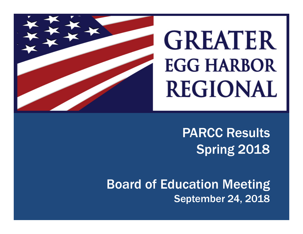

# PARCC ResultsSpring 2018

Board of Education Meeting September 24, 2018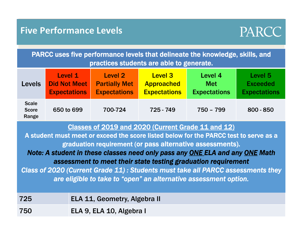#### **Five Performance Levels**



PARCC uses five performance levels that delineate the knowledge, skills, and practices students are able to generate.

| <b>Levels</b>                         | Level 1             | <b>Level 2</b>       | <b>Level 3</b>      | Level 4             | Level 5             |
|---------------------------------------|---------------------|----------------------|---------------------|---------------------|---------------------|
|                                       | <b>Did Not Meet</b> | <b>Partially Met</b> | <b>Approached</b>   | <b>Met</b>          | <b>Exceeded</b>     |
|                                       | <b>Expectations</b> | <b>Expectations</b>  | <b>Expectations</b> | <b>Expectations</b> | <b>Expectations</b> |
| <b>Scale</b><br><b>Score</b><br>Range | 650 to 699          | 700-724              | 725 - 749           | 750 - 799           | $800 - 850$         |

Classes of 2019 and 2020 (Current Grade 11 and 12)

A student must meet or exceed the score listed below for the PARCC test to serve as a graduation requirement (or pass alternative assessments).

*Note: A student in these classes need only pass any ONE ELA and any ONE Math assessment to meet their state testing graduation requirement*

*Class of 2020 (Current Grade 11) : Students must take all PARCC assessments they are eligible to take to "open" an alternative assessment option.*

| 725 | <b>ELA 11, Geometry, Algebra II</b> |
|-----|-------------------------------------|
| 750 | ELA 9, ELA 10, Algebra I            |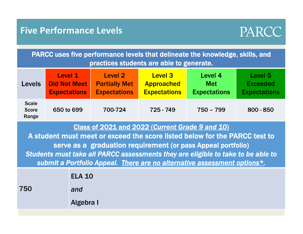#### **Five Performance Levels**



PARCC uses five performance levels that delineate the knowledge, skills, and practices students are able to generate.

| <b>Levels</b>                         | Level 1             | Level 2              | <b>Level 3</b>      | Level 4             | Level 5             |
|---------------------------------------|---------------------|----------------------|---------------------|---------------------|---------------------|
|                                       | <b>Did Not Meet</b> | <b>Partially Met</b> | <b>Approached</b>   | <b>Met</b>          | <b>Exceeded</b>     |
|                                       | <b>Expectations</b> | <b>Expectations</b>  | <b>Expectations</b> | <b>Expectations</b> | <b>Expectations</b> |
| <b>Scale</b><br><b>Score</b><br>Range | 650 to 699          | 700-724              | 725 - 749           | $750 - 799$         | $800 - 850$         |

Class of 2021 and 2022 (*Current Grade 9 and 10* )

A student must meet or exceed the score listed below for the PARCC test to serve as a graduation requirement (or pass Appeal portfolio) *Students must take all PARCC assessments they are eligible to take to be able to submit a Portfolio Appeal. There are no alternative assessment options\*.*

|     | <b>ELA 10</b>    |
|-----|------------------|
| 750 | and              |
|     | <b>Algebra I</b> |
|     |                  |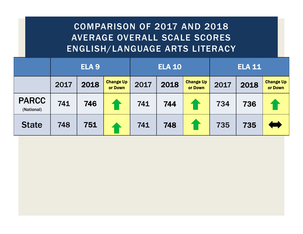#### COMPARISON OF 2017 AND 2018 AVERAGE OVERALL SCALE SCORES ENGLISH/LANGUAGE ARTS LITERACY

|                            | ELA <sub>9</sub> |      | <b>ELA 10</b>               |      |      | <b>ELA 11</b>               |      |      |                             |
|----------------------------|------------------|------|-----------------------------|------|------|-----------------------------|------|------|-----------------------------|
|                            | 2017             | 2018 | <b>Change Up</b><br>or Down | 2017 | 2018 | <b>Change Up</b><br>or Down | 2017 | 2018 | <b>Change Up</b><br>or Down |
| <b>PARCC</b><br>(National) | 741              | 746  |                             | 741  | 744  |                             | 734  | 736  |                             |
| <b>State</b>               | 748              | 751  |                             | 741  | 748  |                             | 735  | 735  |                             |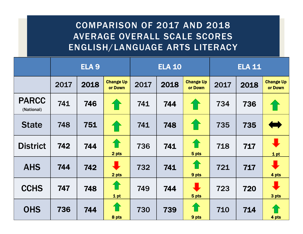#### COMPARISON OF 2017 AND 2018 AVERAGE OVERALL SCALE SCORES ENGLISH/LANGUAGE ARTS LITERACY

|                            | ELA <sub>9</sub> |      |                               | <b>ELA 10</b> |      |                               | <b>ELA 11</b> |      |                             |
|----------------------------|------------------|------|-------------------------------|---------------|------|-------------------------------|---------------|------|-----------------------------|
|                            | 2017             | 2018 | <b>Change Up</b><br>or Down   | 2017          | 2018 | <b>Change Up</b><br>or Down   | 2017          | 2018 | <b>Change Up</b><br>or Down |
| <b>PARCC</b><br>(National) | 741              | 746  | 1                             | 741           | 744  | <b>10</b>                     | 734           | 736  |                             |
| <b>State</b>               | 748              | 751  | 1                             | 741           | 748  | 1                             | 735           | 735  |                             |
| <b>District</b>            | 742              | 744  | ⇑<br>2 pts                    | 736           | 741  | 介<br>5 pts                    | 718           | 717  | 1 pt                        |
| <b>AHS</b>                 | 744              | 742  | $\ddot{\phantom{a}}$<br>2 pts | 732           | 741  | 9 pts                         | 721           | 717  | 4 pts                       |
| <b>CCHS</b>                | 747              | 748  | 1<br>1 pt                     | 749           | 744  | $\ddot{\phantom{a}}$<br>5 pts | 723           | 720  | 3 pts                       |
| <b>OHS</b>                 | 736              | 744  | <b>11</b><br>8 pts            | 730           | 739  | 9 pts                         | 710           | 714  | 4 pts                       |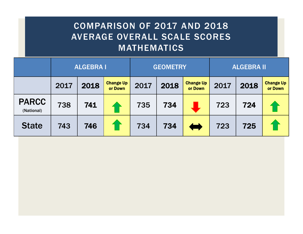#### COMPARISON OF 2017 AND 2018 AVERAGE OVERALL SCALE SCORES **MATHEMATICS**

|                            | <b>ALGEBRA I</b> |      | <b>GEOMETRY</b>             |      |      | <b>ALGEBRA II</b>           |      |      |                             |
|----------------------------|------------------|------|-----------------------------|------|------|-----------------------------|------|------|-----------------------------|
|                            | 2017             | 2018 | <b>Change Up</b><br>or Down | 2017 | 2018 | <b>Change Up</b><br>or Down | 2017 | 2018 | <b>Change Up</b><br>or Down |
| <b>PARCC</b><br>(National) | 738              | 741  |                             | 735  | 734  |                             | 723  | 724  |                             |
| <b>State</b>               | 743              | 746  |                             | 734  | 734  |                             | 723  | 725  |                             |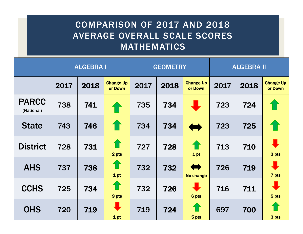#### COMPARISON OF 2017 AND 2018 AVERAGE OVERALL SCALE SCORES **MATHEMATICS**

|                            | <b>ALGEBRA I</b> |      | <b>GEOMETRY</b>             |      |      | <b>ALGEBRA II</b>                         |      |      |                             |
|----------------------------|------------------|------|-----------------------------|------|------|-------------------------------------------|------|------|-----------------------------|
|                            | 2017             | 2018 | <b>Change Up</b><br>or Down | 2017 | 2018 | <b>Change Up</b><br>or Down               | 2017 | 2018 | <b>Change Up</b><br>or Down |
| <b>PARCC</b><br>(National) | 738              | 741  | 介                           | 735  | 734  |                                           | 723  | 724  |                             |
| <b>State</b>               | 743              | 746  |                             | 734  | 734  | $\blacklozenge$                           | 723  | 725  |                             |
| <b>District</b>            | 728              | 731  | ⇑<br>2 pts                  | 727  | 728  | €<br>1 pt                                 | 713  | 710  | 3 pts                       |
| <b>AHS</b>                 | 737              | 738  | 10<br>1 pt                  | 732  | 732  | $\blacktriangleright$<br><b>No change</b> | 726  | 719  | 7 pts                       |
| <b>CCHS</b>                | 725              | 734  | 1<br>9 pts                  | 732  | 726  | $\ddot{\phantom{0}}$<br>6 pts             | 716  | 711  | 5 pts                       |
| <b>OHS</b>                 | 720              | 719  | $\bullet$<br>1 pt           | 719  | 724  | 5 pts                                     | 697  | 700  | 3 pts                       |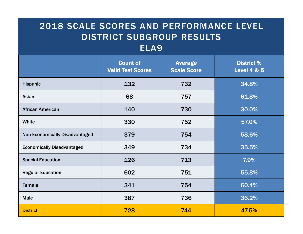### 2018 SCALE SCORES AND PERFORMANCE LEVEL DISTRICT SUBGROUP RESULTS

#### ELA9

|                                       | <b>Count of</b><br><b>Valid Test Scores</b> | <b>Average</b><br><b>Scale Score</b> | <b>District %</b><br><b>Level 4 &amp; 5</b> |
|---------------------------------------|---------------------------------------------|--------------------------------------|---------------------------------------------|
| <b>Hispanic</b>                       | 132                                         | 732                                  | 34.8%                                       |
| Asian                                 | 68                                          | 757                                  | 61.8%                                       |
| <b>African American</b>               | 140                                         | 730                                  | 30.0%                                       |
| White                                 | 330                                         | 752                                  | 57.0%                                       |
| <b>Non-Economically Disadvantaged</b> | 379                                         | 754                                  | 58.6%                                       |
| <b>Economically Disadvantaged</b>     | 349                                         | 734                                  | 35.5%                                       |
| <b>Special Education</b>              | 126                                         | 713                                  | 7.9%                                        |
| <b>Regular Education</b>              | 602                                         | 751                                  | 55.8%                                       |
| Female                                | 341                                         | 754                                  | 60.4%                                       |
| <b>Male</b>                           | 387                                         | 736                                  | 36.2%                                       |
| <b>District</b>                       | 728                                         | 744                                  | 47.5%                                       |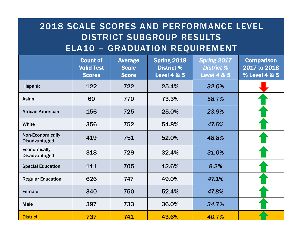#### 2018 SCALE SCORES AND PERFORMANCE LEVEL DISTRICT SUBGROUP RESULTS ELA10 – GRADUATION REQUIREMENT

|                                                 | <b>Count of</b><br><b>Valid Test</b><br><b>Scores</b> | <b>Average</b><br><b>Scale</b><br><b>Score</b> | <b>Spring 2018</b><br><b>District %</b><br><b>Level 4 &amp; 5</b> | Spring 2017<br><b>District %</b><br><b>Level 4 &amp; 5</b> | <b>Comparison</b><br>2017 to 2018<br>% Level 4 & 5 |
|-------------------------------------------------|-------------------------------------------------------|------------------------------------------------|-------------------------------------------------------------------|------------------------------------------------------------|----------------------------------------------------|
| <b>Hispanic</b>                                 | 122                                                   | 722                                            | 25.4%                                                             | 32.0%                                                      |                                                    |
| Asian                                           | 60                                                    | 770                                            | 73.3%                                                             | 58.7%                                                      |                                                    |
| <b>African American</b>                         | 156                                                   | 725                                            | 25.0%                                                             | 23.9%                                                      |                                                    |
| White                                           | 356                                                   | 752                                            | 54.8%                                                             | 47.6%                                                      |                                                    |
| <b>Non-Economically</b><br><b>Disadvantaged</b> | 419                                                   | 751                                            | 52.0%                                                             | 48.8%                                                      |                                                    |
| <b>Economically</b><br><b>Disadvantaged</b>     | 318                                                   | 729                                            | 32.4%                                                             | 31.0%                                                      |                                                    |
| <b>Special Education</b>                        | 111                                                   | 705                                            | 12.6%                                                             | 8.2%                                                       |                                                    |
| <b>Regular Education</b>                        | 626                                                   | 747                                            | 49.0%                                                             | 47.1%                                                      |                                                    |
| <b>Female</b>                                   | 340                                                   | 750                                            | 52.4%                                                             | 47.8%                                                      |                                                    |
| <b>Male</b>                                     | 397                                                   | 733                                            | 36.0%                                                             | 34.7%                                                      |                                                    |
| <b>District</b>                                 | 737                                                   | 741                                            | 43.6%                                                             | 40.7%                                                      |                                                    |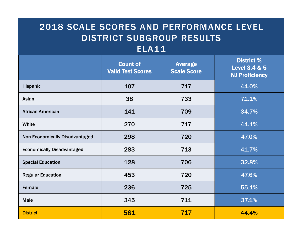#### 2018 SCALE SCORES AND PERFORMANCE LEVEL DISTRICT SUBGROUP RESULTS

#### ELA11

|                                       | <b>Count of</b><br><b>Valid Test Scores</b> | <b>Average</b><br><b>Scale Score</b> | <b>District %</b><br>Level 3,4 & 5<br><b>NJ Proficiency</b> |
|---------------------------------------|---------------------------------------------|--------------------------------------|-------------------------------------------------------------|
| <b>Hispanic</b>                       | 107                                         | 717                                  | 44.0%                                                       |
| Asian                                 | 38                                          | 733                                  | 71.1%                                                       |
| <b>African American</b>               | 141                                         | 709                                  | 34.7%                                                       |
| White                                 | 270                                         | 717                                  | 44.1%                                                       |
| <b>Non-Economically Disadvantaged</b> | 298                                         | 720                                  | 47.0%                                                       |
| <b>Economically Disadvantaged</b>     | 283                                         | 713                                  | 41.7%                                                       |
| <b>Special Education</b>              | 128                                         | 706                                  | 32.8%                                                       |
| <b>Regular Education</b>              | 453                                         | 720                                  | 47.6%                                                       |
| Female                                | 236                                         | 725                                  | 55.1%                                                       |
| <b>Male</b>                           | 345                                         | 711                                  | 37.1%                                                       |
| <b>District</b>                       | 581                                         | 717                                  | 44.4%                                                       |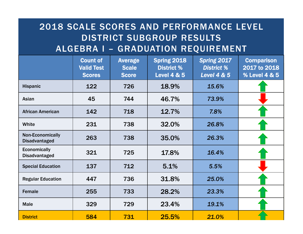#### 2018 SCALE SCORES AND PERFORMANCE LEVEL DISTRICT SUBGROUP RESULTS ALGEBRA I – GRADUATION REQUIREMENT

|                                                 | <b>Count of</b><br><b>Valid Test</b><br><b>Scores</b> | <b>Average</b><br><b>Scale</b><br><b>Score</b> | <b>Spring 2018</b><br><b>District %</b><br><b>Level 4 &amp; 5</b> | Spring 2017<br><b>District %</b><br><b>Level 4 &amp; 5</b> | <b>Comparison</b><br>2017 to 2018<br>% Level 4 & 5 |
|-------------------------------------------------|-------------------------------------------------------|------------------------------------------------|-------------------------------------------------------------------|------------------------------------------------------------|----------------------------------------------------|
| <b>Hispanic</b>                                 | 122                                                   | 726                                            | 18.9%                                                             | 15.6%                                                      |                                                    |
| Asian                                           | 45                                                    | 744                                            | 46.7%                                                             | 73.9%                                                      |                                                    |
| <b>African American</b>                         | 142                                                   | 718                                            | 12.7%                                                             | 7.8%                                                       |                                                    |
| White                                           | 231                                                   | 738                                            | 32.0%                                                             | 26.8%                                                      |                                                    |
| <b>Non-Economically</b><br><b>Disadvantaged</b> | 263                                                   | 738                                            | 35.0%                                                             | 26.3%                                                      |                                                    |
| <b>Economically</b><br><b>Disadvantaged</b>     | 321                                                   | 725                                            | 17.8%                                                             | 16.4%                                                      |                                                    |
| <b>Special Education</b>                        | 137                                                   | 712                                            | 5.1%                                                              | 5.5%                                                       |                                                    |
| <b>Regular Education</b>                        | 447                                                   | 736                                            | 31.8%                                                             | 25.0%                                                      |                                                    |
| <b>Female</b>                                   | 255                                                   | 733                                            | 28.2%                                                             | 23.3%                                                      |                                                    |
| <b>Male</b>                                     | 329                                                   | 729                                            | 23.4%                                                             | 19.1%                                                      |                                                    |
| <b>District</b>                                 | 584                                                   | 731                                            | 25.5%                                                             | 21.0%                                                      |                                                    |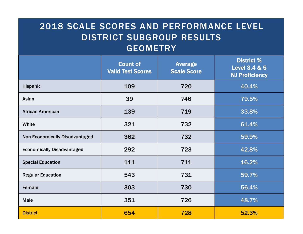#### 2018 SCALE SCORES AND PERFORMANCE LEVEL DISTRICT SUBGROUP RESULTS GEOMETRY

|                                       | <b>Count of</b><br><b>Valid Test Scores</b> | <b>Average</b><br><b>Scale Score</b> | <b>District %</b><br>Level 3,4 & 5<br><b>NJ Proficiency</b> |
|---------------------------------------|---------------------------------------------|--------------------------------------|-------------------------------------------------------------|
| <b>Hispanic</b>                       | 109                                         | 720                                  | 40.4%                                                       |
| Asian                                 | 39                                          | 746                                  | 79.5%                                                       |
| <b>African American</b>               | 139                                         | 719                                  | 33.8%                                                       |
| White                                 | 321                                         | 732                                  | 61.4%                                                       |
| <b>Non-Economically Disadvantaged</b> | 362                                         | 732                                  | 59.9%                                                       |
| <b>Economically Disadvantaged</b>     | 292                                         | 723                                  | 42.8%                                                       |
| <b>Special Education</b>              | 111                                         | 711                                  | 16.2%                                                       |
| <b>Regular Education</b>              | 543<br>731                                  |                                      | 59.7%                                                       |
| <b>Female</b>                         | 303                                         | 730                                  | 56.4%                                                       |
| <b>Male</b>                           | 351                                         | 726                                  | 48.7%                                                       |
| <b>District</b>                       | 654                                         | 728                                  | 52.3%                                                       |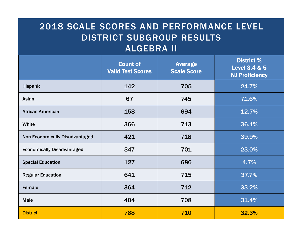#### 2018 SCALE SCORES AND PERFORMANCE LEVEL DISTRICT SUBGROUP RESULTS ALGEBRA II

|                                       | <b>Count of</b><br><b>Average</b><br><b>Valid Test Scores</b><br><b>Scale Score</b> |     | <b>District %</b><br>Level 3,4 & 5<br><b>NJ Proficiency</b> |
|---------------------------------------|-------------------------------------------------------------------------------------|-----|-------------------------------------------------------------|
| <b>Hispanic</b>                       | 142<br>705                                                                          |     | 24.7%                                                       |
| Asian                                 | 67<br>745                                                                           |     | 71.6%                                                       |
| <b>African American</b>               | 694<br>158                                                                          |     | 12.7%                                                       |
| White                                 | 366                                                                                 | 713 | 36.1%                                                       |
| <b>Non-Economically Disadvantaged</b> | 421                                                                                 | 718 | 39.9%                                                       |
| <b>Economically Disadvantaged</b>     | 347                                                                                 | 701 | 23.0%                                                       |
| <b>Special Education</b>              | 127<br>686                                                                          |     | 4.7%                                                        |
| <b>Regular Education</b>              | 641<br>715                                                                          |     | 37.7%                                                       |
| <b>Female</b>                         | 364                                                                                 | 712 | 33.2%                                                       |
| <b>Male</b>                           | 404                                                                                 | 708 | 31.4%                                                       |
| <b>District</b>                       | 768                                                                                 | 710 | <b>32.3%</b>                                                |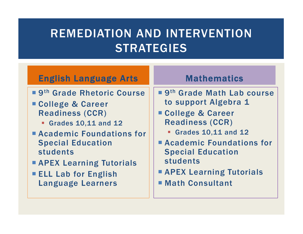## REMEDIATION AND INTERVENTION **STRATEGIES**

#### English Language Arts

- 9<sup>th</sup> Grade Rhetoric Course
- College & Career Readiness (CCR)
	- Grades 10,11 and 12
- Academic Foundations for Special Education students
- **APEX Learning Tutorials**
- **ELL Lab for English** Language Learners

#### Mathematics

- 9<sup>th</sup> Grade Math Lab course to support Algebra 1
- College & Career Readiness (CCR)
	- Grades 10,11 and 12
- Academic Foundations for Special Education students
- **APEX Learning Tutorials**
- Math Consultant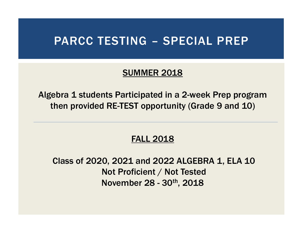### PARCC TESTING – SPECIAL PREP

#### SUMMER 2018

Algebra 1 students Participated in a 2-week Prep program then provided RE-TEST opportunity (Grade 9 and 10)

#### FALL 2018

Class of 2020, 2021 and 2022 ALGEBRA 1, ELA 10 Not Proficient / Not Tested November 28 - 30th, 2018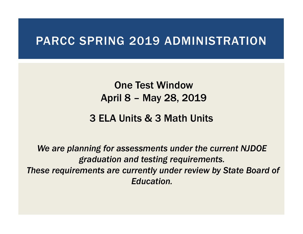### PARCC SPRING 2019 ADMINISTRATION

One Test Window April 8 – May 28, 2019

#### 3 ELA Units & 3 Math Units

*We are planning for assessments under the current NJDOE graduation and testing requirements. These requirements are currently under review by State Board of Education.*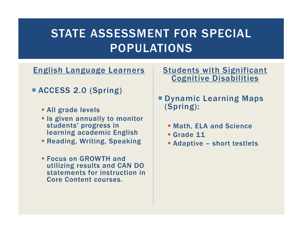## STATE ASSESSMENT FOR SPECIAL POPULATIONS

English Language Learners

- ACCESS 2.0 (Spring)
	- All grade levels
	- **E** Is given annually to monitor students' progress in learning academic English
	- Reading, Writing, Speaking
	- Focus on GROWTH and utilizing results and CAN DO statements for instruction in Core Content courses.

#### **Students with Significant** Cognitive Disabilities

- Dynamic Learning Maps (Spring):
	- Math, ELA and Science
	- Grade 11
	- Adaptive short testlets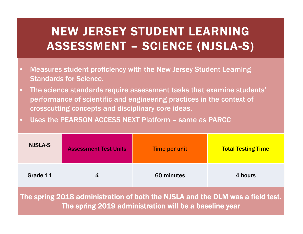## NEW JERSEY STUDENT LEARNING ASSESSMENT – SCIENCE (NJSLA-S)

- $\bullet$  Measures student proficiency with the New Jersey Student Learning Standards for Science.
- $\bullet$  The science standards require assessment tasks that examine students' performance of scientific and engineering practices in the context of crosscutting concepts and disciplinary core ideas.
- $\bullet$ Uses the PEARSON ACCESS NEXT Platform – same as PARCC

| <b>NJSLA-S</b>                                                                                                                           | <b>Assessment Test Units</b> | Time per unit | <b>Total Testing Time</b> |  |  |  |
|------------------------------------------------------------------------------------------------------------------------------------------|------------------------------|---------------|---------------------------|--|--|--|
| Grade 11                                                                                                                                 | 4                            | 60 minutes    | 4 hours                   |  |  |  |
| The spring 2018 administration of both the NJSLA and the DLM was a field test.<br>The spring 2019 administration will be a baseline year |                              |               |                           |  |  |  |